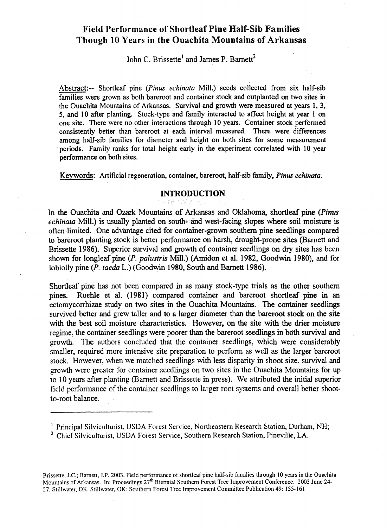# **Field Performance of Shortleaf Pine Half-Sib Families Though 10 Years in the Ouachita Mountains of Arkansas**

## John C. Brissette<sup>1</sup> and James P. Barnett<sup>2</sup>

Abstract:-- Shortleaf pine *(Pinus echinata* Mill.) seeds collected From six half-sib families were grown as both bareroot and container stock and outplanted on two sites in the Ouachita Mountains of Arkansas. Survival and growth were measured at years 1, 3, 5, and 10 afier planting. Stock-type and family interacted to affect height at year 1 on one site. There were no other interactions through **10** years. Container stock performed consistently better than bareroot at each interval measured. There were differences among half-sib families for diameter and height on both sites for some measurement periods. Family ranks for total height early in the experiment correlated with **10** year performance on both sites.

Keywords: Artificial regeneration, container, bareroot, half-sib family, *Pinus* echinata.

#### **INTRODUCTION**

In the Ouachita and Ozark Mountains of Arkansas and Oklahoma, shortleaf pine (Pinus *echinata* Mill.) is usually planted on south- and west-facing slopes where soil moisture is often limited. One advantage cited for container-grown southern pine seedlings compared to bareroot planting stock is better performance on harsh, drought-prone sites (Barnett and Brissette 1986). Superior survival and growth of container seedlings on dry sites has been shown for longleaf pine *(P. palustris Mill.)* (Amidon et al. 1982, Goodwin 1980), and for loblolly pine *(P.* taeda L.) (Goodwin 1980, South and Barnett 1986).

Shortleaf pine has not been compared in as many stock-type trials **as** the other southern pines. Ruehle et al. (1981) compared container and bareroot shortleaf pine in an ectomycorrhizae study on two sites in the Ouachita Mountains. The container seedlings survived better and grew taller and to a larger diameter than the bareroot stock on the site with the best soil moisture characteristics. However, on the site with the drier moisture regime, the container seedlings were poorer than the bareroot seedlings in both survival and growth. The authors concluded that the container seedlings, which were considerably smaller, required more intensive site preparation to perform as well **as** the larger bareroot stock. However, when we matched seedlings with less disparity in shoot size, survival and growth were greater for container seedlings on two sites in the Ouachita Mountains for up to 10 years afier planting (Barnett and Brissette in press). We attributed the initial superior field performance of the container seedlings to larger root systems and overall better shootto-root balance.

Brissette, J.C.; Barnett, J.P. 2003. Field performance of shortleaf pine half-sib families through **10** years in the Ouachita Mountains of Arkansas. In: Proceedings 27<sup>th</sup> Biennial Southern Forest Tree Improvement Conference. 2003 June 24-27, Stillwater, OK. Stillwater, OK: Southern Forest Tree Improvement Committee Publication 49: 155-161

<sup>&</sup>lt;sup>1</sup> Principal Silviculturist, USDA Forest Service, Northeastern Research Station, Durham, NH;

<sup>&</sup>lt;sup>2</sup> Chief Silviculturist, USDA Forest Service, Southern Research Station, Pineville, LA.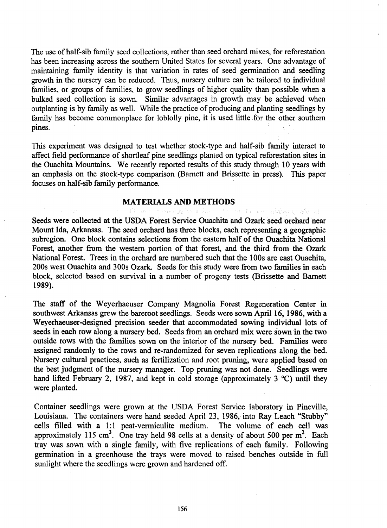The use of half-sib family seed collections, rather than seed orchard mixes, for reforestation has been increasing across the southern United States for several years. One advantage of maintaining family identity is that variation in rates of seed germination and seedling growth in the nursery can be reduced. Thus, nursery culture can be tailored to individual families, or groups of families, to grow seedlings of higher quality than possible when a bulked seed collection is sown. Similar advantages in growth may be achieved when outplanting is by family as well. While the practice of producing and planting seedlings by family **has** become commonplace for loblolly pine, it is used little for the other southern pines.

This experiment was designed to test whether stock-type and half-sib family interact to affect field performance of shortleaf pine seedlings planted on typical reforestation sites in the Ouachita Mountains. We recently reported results of this study through 10 years with an emphasis on the stock-type comparison (Barnett and Brissette in press). This paper focuses on half-sib family performance.

### **MATERIALS AND METHODS**

Seeds were collected at the USDA Forest Service Ouachita and Ozark seed orchard near Mount **Ida,** Arkansas. The seed orchard has three blocks, each representing a geographic subregion. One block contains selections from the eastern half of the Ouachita National Forest, another from the western portion of that forest, and the third from the Ozark National Forest. Trees in the orchard are numbered such that the 100s are east Ouachita, 200s west Ouachita and 300s Ozark. Seeds for this study were from two families in each block, selected based on survival in a number of progeny tests (Brissette and Barnett 1989).

The staff of the Weyerhaeuser Company Magnolia Forest Regeneration Center in southwest Arkansas grew the bareroot seedlings. Seeds were sown April 16, 1986, **with** a Weyerhaeuser-designed precision seeder that accommodated sowing individual lots of seeds in each row along a nursery bed. Seeds from an orchard mix were sown in the two outside rows with the families sown on the interior of the nursery bed. Families were assigned randomly to the rows and re-randomized for seven replications along the bed. Nursery cultural practices, such as fertilization and root pruning, were applied based on the best judgment of the nursery manager. Top pruning was not done. Seedlings were hand lifted February 2, 1987, and kept in cold storage (approximately 3 °C) until they were planted.

Container seedlings were grown at the USDA Forest Service laboratory in Pineville, Louisiana. The containers were hand seeded April 23, 1986, into Ray Leach "Stubby" cells filled with a 1:l peat-vermiculite medium. The volume of each cell was approximately 115 cm<sup>3</sup>. One tray held 98 cells at a density of about 500 per m<sup>2</sup>. Each tray was sown with a single family, with five replications of each family. Following germination in a greenhouse the trays were moved to raised benches outside in full sunlight where the seedlings were grown and hardened off.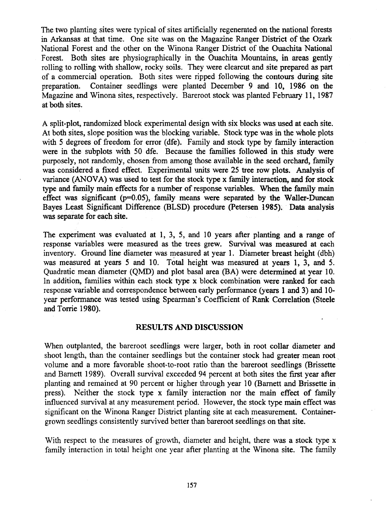The two planting sites were typical of sites artificially regenerated on the national forests in Arkansas at that time. One site was on the Magazine Ranger District of the Ozark National Forest and the other on the Winona Ranger District of the Ouachita National Forest. Both sites are physiographically in the Ouachita Mountains, in areas gently rolling to rolling with shallow, rocky soils. They were clearcut and site prepared as part of a commercial operation. Both sites were ripped following the contours during site preparation. Container seedlings were planted December 9 and 10, 1986 on the Magazine and Winona sites, respectively. Bareroot stock was planted February 11, 1987 at **both** sites.

A split-plot, randomized block experimental design with six blocks was used at each site. At both sites, slope position was the blocking variable. Stock **type** was in the whole plots with 5 degrees of freedom for error (dfe). Family and stock **type** by family interaction were in the subplots with 50 dfe. Because the families followed in this study were purposely, not randomly, chosen from among those available in the seed orchard, family was considered a fixed effect. Experimental **units** were 25 tree row plots. Analysis of variance (ANOVA) was used to test for the stock type x family interaction, and for **stock**  type and farnily main effects for a number of response variables. When the family main effect was significant  $(p=0.05)$ , family means were separated by the Waller-Duncan Bayes **Least** Significant Difference (BLSD) procedure (Petersen 1985). Data analysis was separate for each site.

The experiment was evaluated at 1, 3, 5, and 10 years after planting and a range of response variables were measured as the trees grew. Survival was measured at each inventory. Ground line diameter was measured at year 1. Diameter breast height (dbh) was measured at years 5 and 10. Total height was measured at years 1, 3, and 5. Quadratic mean diameter (QMD) and plot basal area **@A)** were determined at year 10. In addition, families within each stock type x block combination were ranked for each response variable and correspondence between early performance (years 1 and 3) and 10 year performance was tested using Spearman's Coefficient of **Rank** Correlation (Steele and Torrie 1980).

#### **RESULTS AND DISCUSSION**

When outplanted, the bareroot seedlings were larger, both in root collar diameter and shoot length, than the container seedlings but the container stock had greater mean root volume and a more favorable shoot-to-root ratio than the bareroot seedlings (Brissette and Barnett 1989). Overall survival exceeded 94 percent at both sites the first year after planting and remained at 90 percent or higher through year 10 (Barnett and Brissette in press). Neither the stock type x family interaction nor the main effect of family influenced survival at any measurement period. However, the stock type main effect was significant on the Winona Ranger District planting site at each measurement. Containergrown seedlings consistently survived better than bareroot seedlings on that site.

With respect to the measures of growth, diameter and height, there was a stock type x family interaction in total height one year after planting at the Winona site. The family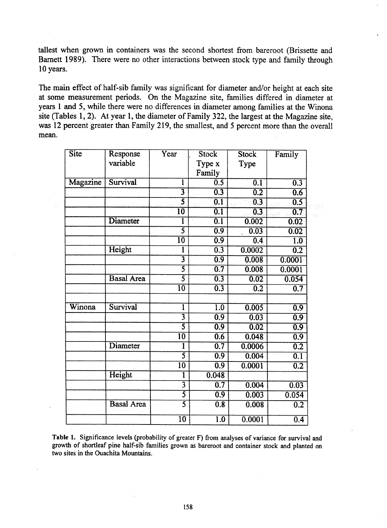tallest when grown in containers was the second shortest fiom bareroot (Brissette and Barnett 1989). There were no other interactions between stock type and family through 10 years.

The main effect of half-sib family was significant for diameter and/or height at each site at some measurement periods. On the Magazine site, families differed in diameter at years 1 and 5, while there were no differences in diameter among families at the Winona site (Tables 1,2). At year 1, the diameter of Family 322, the largest at the Magazine site, **was** 12 percent greater than Family 219, the smallest, and 5 percent more than the overall mean.

| Site      | Response          | Year                        | <b>Stock</b>     | <b>Stock</b>     | Family           |
|-----------|-------------------|-----------------------------|------------------|------------------|------------------|
|           | variable          |                             | Type x           | Type             |                  |
|           |                   |                             | Family           |                  |                  |
| Magazine  | Survival          | l                           | 0.5              | 0.1              | 0.3              |
|           |                   | $\overline{\mathbf{3}}$     | 0.3              | $\overline{0.2}$ | 0.6              |
| a na kara |                   | 5                           | $\overline{0.1}$ | 0.3              | 0.5              |
|           |                   | 10                          | 0.1              | 0.3              | 0.7              |
|           | Diameter          |                             | 0.1              | 0.002            | 0.02             |
|           |                   | $\overline{\mathsf{5}}$     | 0.9              | 0.03             | 0.02             |
|           |                   | $\overline{10}$             | 0.9              | 0.4              | $\overline{1.0}$ |
|           | Height            | l                           | 0.3              | 0.0002           | 0.2              |
|           |                   | $\overline{\boldsymbol{3}}$ | $\overline{0.9}$ | 0.008            | 0.0001           |
|           |                   | $\overline{\mathsf{5}}$     | 0.7              | 0.008            | 0.0001           |
|           | <b>Basal Area</b> | 3                           | 0.3              | 0.02             | 0.054            |
|           |                   | $\overline{10}$             | 0.3              | $\overline{0.2}$ | $\overline{0.7}$ |
| Winona    | Survival          | ī                           | $\overline{1.0}$ | 0.005            | 0.9              |
|           |                   | $\overline{\mathbf{3}}$     | $\overline{0.9}$ | 0.03             | 0.9              |
|           |                   | $\overline{\mathcal{5}}$    | 0.9              | 0.02             | 0.9              |
|           |                   | $\overline{10}$             | 0.6              | 0.048            | $\overline{0.9}$ |
|           | Diameter          | 1                           | $\overline{0.7}$ | 0.0006           | $\overline{0.2}$ |
|           |                   | 3                           | 0.9              | 0.004            | 0.1              |
|           |                   | $\overline{10}$             | $\overline{0.9}$ | 0.0001           | $\overline{0.2}$ |
|           | Height            | ı                           | 0.048            |                  |                  |
|           |                   | $\overline{\mathbf{3}}$     | 0.7              | 0.004            | 0.03             |
|           |                   | $\overline{\mathsf{S}}$     | $\overline{0.9}$ | 0.003            | 0.054            |
|           | <b>Basal Area</b> | $\overline{\mathsf{5}}$     | 0.8              | 0.008            | $\overline{0.2}$ |
|           |                   | $\overline{10}$             | $\overline{1.0}$ | 0.0001           | 0.4              |

**Table 1. Significance levels (probability of greater F) fiom analyses of variance for survival and growth of shortleaf pine half-sib families grown as bareroot and container stock and planted on two sites in the Ouachita Mountains.**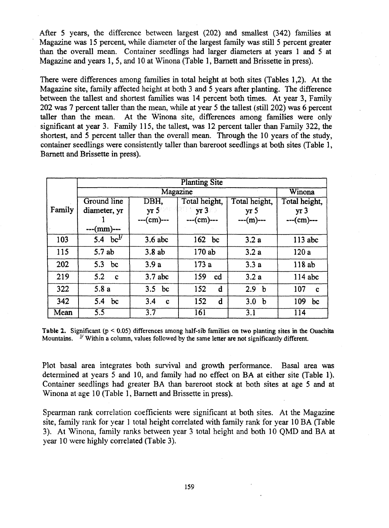After **5** years, the difference between largest (202) and smallest (342) families at Magazine was 15 percent, while diameter of the largest family was still 5 percent greater than the overall mean. Container seedlings had larger diameters at years 1 and 5 at Magazine and years 1,5, and 10 at Winona (Table 1, Barnett and Brissette in press).

There were differences among families in total height at both sites (Tables 1,2). At the Magazine site, family affected height at both 3 and 5 years after planting. The difference between the tallest and shortest families was 14 percent both times. At year 3, Family 202 was 7 percent taller than the mean, while at year 5 the tallest (still 202) was 6 percent taller than the mean. At the Winona site, differences among families were only significant at year 3. Family 115, the tallest, was 12 percent taller than Family 322, the shortest, and 5 percent taller than the overall mean. Through the 10 years of the study, container seedlings were consistently taller than bareroot seedlings at both sites (Table 1, Bamett and Brissette in press).

|        | <b>Planting Site</b> |                    |               |                    |                    |  |
|--------|----------------------|--------------------|---------------|--------------------|--------------------|--|
|        |                      | Winona             |               |                    |                    |  |
|        | Ground line          | DBH,               | Total height, | Total height,      | Total height,      |  |
| Family | diameter, yr         | yr 5               | yr3           | yr <sub>5</sub>    | yr <sub>3</sub>    |  |
|        |                      | $-(-cm)$ ---       | $-(-cm)$ ---  | $-(-m)$ ---        | $-(-cm)$ ---       |  |
|        | ---(mm)---           |                    |               |                    |                    |  |
| 103    | 5.4 $bc^{1/}$        | $3.6$ abc          | 162 bc        | 3.2a               | $113$ abc          |  |
| 115    | 5.7 ab               | 3.8ab              | 170 ab        | 3.2a               | 120a               |  |
| 202    | 5.3 bc               | 3.9a               | 173a          | 3.3a               | 118 ab             |  |
| 219    | $5.2 \quad c$        | $3.7$ abc          | 159<br>cd     | 3.2a               | 114 abc            |  |
| 322    | 5.8a                 | $3.5$ bc           | 152<br>d      | 2.9<br>$\mathbf b$ | 107<br>$\mathbf c$ |  |
| 342    | 5.4<br>bc            | 3.4<br>$\mathbf c$ | 152<br>d      | 3.0<br>$\mathbf b$ | 109<br>bc          |  |
| Mean   | $\overline{5.5}$     | $\overline{3.7}$   | 161           | 3.1                | 114                |  |

**Table 2.** Significant  $(p < 0.05)$  differences among half-sib families on two planting sites in the Ouachita **Mountains.** I' **Within a column, values followed by the same letter are not significantly different.** 

Plot basal area integrates both survival and growth performance. Basal **area** was determined at years 5 and 10, and family had no effect on BA at either site (Table 1). Container seedlings had greater BA than bareroot stock at both sites at age 5 and at Winona at age 10 (Table **1,** Barnett and Brissette in press).

Spearman rank correlation coefficients were significant at both sites. At the Magazine site, family rank for year 1 total height correlated with family rank for year 10 BA (Table 3). At Winona, family ranks between year 3 total height and both 10 QMD and BA at year 10 were highly correlated (Table 3).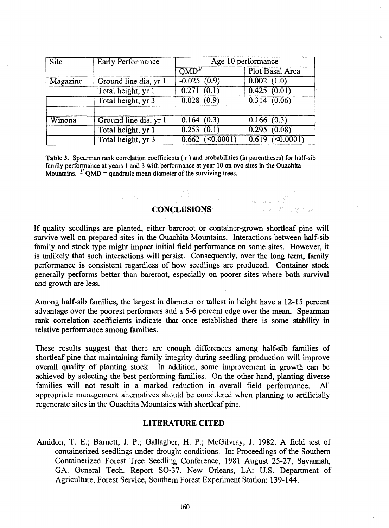| <b>Site</b> | <b>Early Performance</b> | Age 10 performance                  |                            |  |
|-------------|--------------------------|-------------------------------------|----------------------------|--|
|             |                          | $\overline{\text{OMD}^{\text{IV}}}$ | Plot Basal Area            |  |
| Magazine    | Ground line dia, yr 1    | $-0.025(0.9)$                       | $\overline{0.002}$ $(1.0)$ |  |
|             | Total height, yr 1       | $\overline{0.271}$ $(0.1)$          | 0.425(0.01)                |  |
|             | Total height, yr 3       | 0.028(0.9)                          | 0.314(0.06)                |  |
|             |                          |                                     |                            |  |
| Winona      | Ground line dia, yr 1    | 0.164(0.3)                          | 0.166(0.3)                 |  |
|             | Total height, yr 1       | 0.253(0.1)                          | 0.295(0.08)                |  |
|             | Total height, yr 3       | $0.662$ (<0.0001)                   | $0.619$ (<0.0001)          |  |

Table 3. Spearman **rank** correlation coeficients ( r ) and probabilities (in parentheses) for half-sib family performance at years 1 and 3 with performance at year 10 on two sites in the Ouachita Mountains.  $\frac{1}{2}$  OMD = quadratic mean diameter of the surviving trees.

## **CONCLUSIONS**

If quality seedlings are planted, either bareroot or container-grown shortleaf pine will survive well on prepared sites in the Ouachita Mountains. Interactions between half-sib family and stock type might impact initial field performance on some sites. However, it is unlikely that such interactions will persist. Consequently, over the long term, family performance is consistent regardless of how seedlings are produced. Container stock generally performs better than bareroot, especially on poorer sites where both survival and growth are less.

Among half-sib families, the largest in diameter or tallest in height have a 12-15 percent advantage over the poorest performers and a 5-6 percent edge over the mean. Spearman rank correlation coefficients indicate that once established there is some stability in relative performance among families.

These results suggest that there are enough differences among half-sib families of shortleaf pine that maintaining family integrity during seedling production will improve overall quality of planting stock. In addition, some improvement in growth **can** be achieved by selecting the best performing families. On the other hand, planting diverse families will not result in a marked reduction in overall field performance. All appropriate management alternatives should be considered when planning to artificially regenerate sites in the Ouachita Mountains with shortleaf pine.

### **LITERATURE CITED**

Amidon, T. E.; Barnett, J. P.; Gallagher, H. P.; McGilvray, J. 1982. A field test of containerized seedlings under drought conditions. In: Proceedings of the Southern Containerized Forest Tree Seedling Conference, 1981 August 25-27, Savannah, GA. General Tech. Report SO-37. New Orleans, LA: U.S. Department of Agriculture, Forest Service, Southern Forest Experiment Station: 139-1 44.